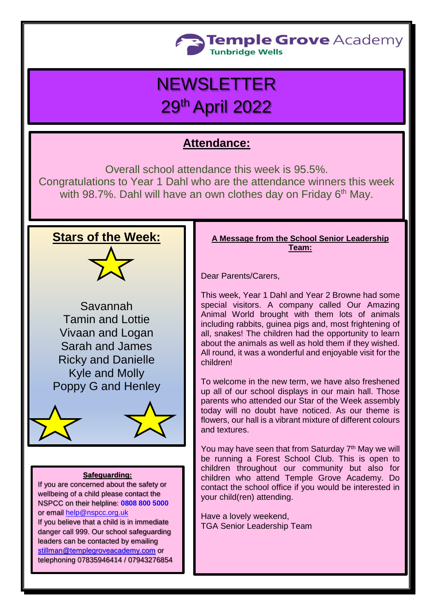

# **NEWSLETTER** 29th April 2022

# **Attendance:**

Overall school attendance this week is 95.5%. Congratulations to Year 1 Dahl who are the attendance winners this week with 98.7%. Dahl will have an own clothes day on Friday 6<sup>th</sup> May.

## **Stars of the Week:**



Savannah Tamin and Lottie Vivaan and Logan Sarah and James Ricky and Danielle Kyle and Molly Poppy G and Henley



#### **Safeguarding:**

If you are concerned about the safety or wellbeing of a child please contact the NSPCC on their helpline: **[0808 800 5000](tel:08088005000)** or email [help@nspcc.org.uk](mailto:help@nspcc.org.uk)

If you believe that a child is in immediate danger call 999. Our school safeguarding leaders can be contacted by emailing [stillman@templegroveacademy.com](mailto:stillman@templegroveacademy.com) or telephoning 07835946414 / 07943276854

#### **A Message from the School Senior Leadership Team:**

Dear Parents/Carers,

This week, Year 1 Dahl and Year 2 Browne had some special visitors. A company called Our Amazing Animal World brought with them lots of animals including rabbits, guinea pigs and, most frightening of all, snakes! The children had the opportunity to learn about the animals as well as hold them if they wished. All round, it was a wonderful and enjoyable visit for the children!

To welcome in the new term, we have also freshened up all of our school displays in our main hall. Those parents who attended our Star of the Week assembly today will no doubt have noticed. As our theme is flowers, our hall is a vibrant mixture of different colours and textures.

You may have seen that from Saturday 7<sup>th</sup> May we will be running a Forest School Club. This is open to children throughout our community but also for children who attend Temple Grove Academy. Do contact the school office if you would be interested in your child(ren) attending.

Have a lovely weekend, TGA Senior Leadership Team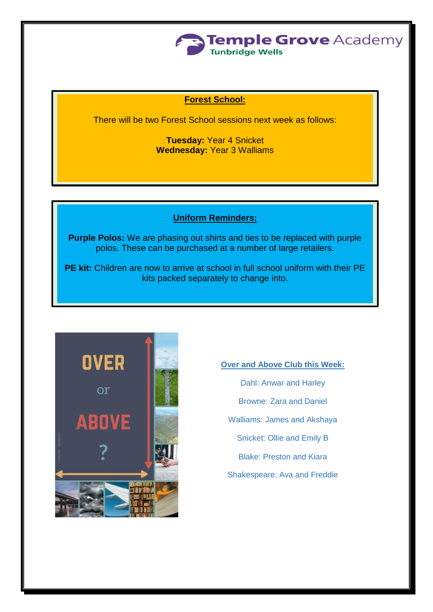

### **Forest School:**

There will be two Forest School sessions next week as follows:

**Tuesday:** Year 4 Snicket **Wednesday:** Year 3 Walliams

#### **Uniform Reminders:**

**Purple Polos:** We are phasing out shirts and ties to be replaced with purple polos. These can be purchased at a number of large retailers.

**PE kit:** Children are now to arrive at school in full school uniform with their PE kits packed separately to change into.



**Over and Above Club this Week:** Dahl: Anwar and Harley Browne: Zara and Daniel Walliams: James and Akshaya Snicket: Ollie and Emily B Blake: Preston and Kiara Shakespeare: Ava and Freddie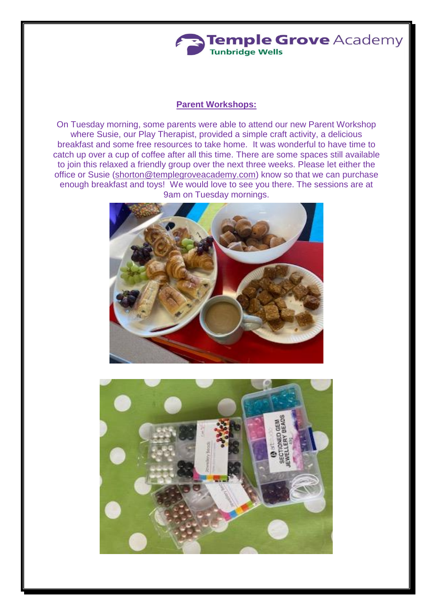

#### **Parent Workshops:**

On Tuesday morning, some parents were able to attend our new Parent Workshop where Susie, our Play Therapist, provided a simple craft activity, a delicious breakfast and some free resources to take home. It was wonderful to have time to catch up over a cup of coffee after all this time. There are some spaces still available to join this relaxed a friendly group over the next three weeks. Please let either the office or Susie [\(shorton@templegroveacademy.com\)](mailto:shorton@templegroveacademy.com) know so that we can purchase enough breakfast and toys! We would love to see you there. The sessions are at 9am on Tuesday mornings.



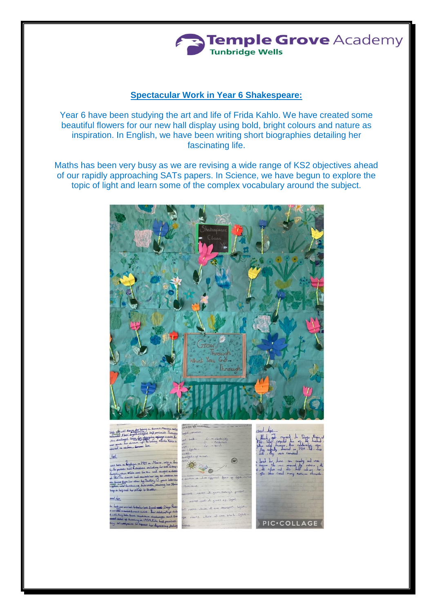# **Temple Grove Academy Tunbridge Wells**

#### **Spectacular Work in Year 6 Shakespeare:**

Year 6 have been studying the art and life of Frida Kahlo. We have created some beautiful flowers for our new hall display using bold, bright colours and nature as inspiration. In English, we have been writing short biographies detailing her fascinating life.

Maths has been very busy as we are revising a wide range of KS2 objectives ahead of our rapidly approaching SATs papers. In Science, we have begun to explore the topic of light and learn some of the complex vocabulary around the subject.

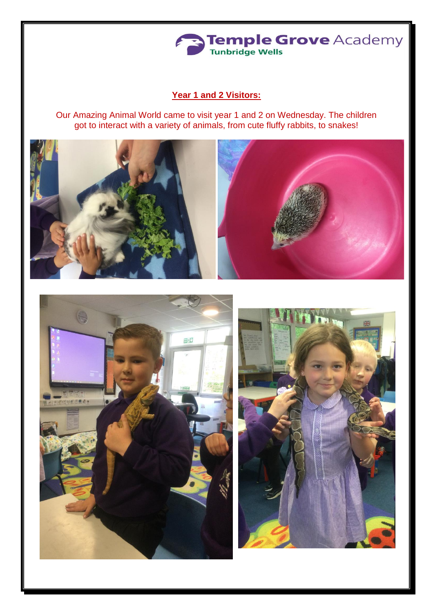

## **Year 1 and 2 Visitors:**

Our Amazing Animal World came to visit year 1 and 2 on Wednesday. The children got to interact with a variety of animals, from cute fluffy rabbits, to snakes!